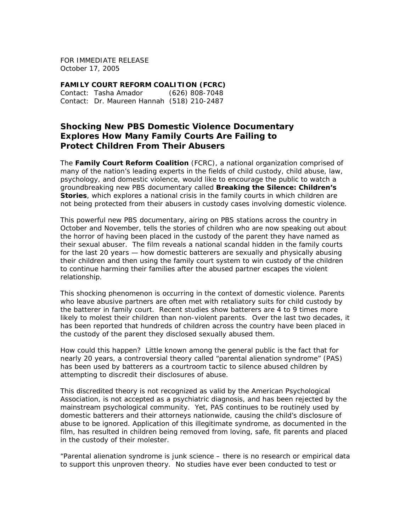FOR IMMEDIATE RELEASE October 17, 2005

**FAMILY COURT REFORM COALITION (FCRC)**  Contact: Tasha Amador (626) 808-7048 Contact: Dr. Maureen Hannah (518) 210-2487

## **Shocking New PBS Domestic Violence Documentary Explores How Many Family Courts Are Failing to Protect Children From Their Abusers**

The **Family Court Reform Coalition** (FCRC), a national organization comprised of many of the nation's leading experts in the fields of child custody, child abuse, law, psychology, and domestic violence, would like to encourage the public to watch a groundbreaking new PBS documentary called *Breaking the Silence: Children's Stories*, which explores a national crisis in the family courts in which children are not being protected from their abusers in custody cases involving domestic violence.

This powerful new PBS documentary, airing on PBS stations across the country in October and November, tells the stories of children who are now speaking out about the horror of having been placed in the custody of the parent they have named as their sexual abuser. The film reveals a national scandal hidden in the family courts for the last 20 years — how domestic batterers are sexually and physically abusing their children and then using the family court system to win custody of the children to continue harming their families after the abused partner escapes the violent relationship.

This shocking phenomenon is occurring in the context of domestic violence. Parents who leave abusive partners are often met with retaliatory suits for child custody by the batterer in family court. Recent studies show batterers are 4 to 9 times more likely to molest their children than non-violent parents. Over the last two decades, it has been reported that hundreds of children across the country have been placed in the custody of the parent they disclosed sexually abused them.

How could this happen? Little known among the general public is the fact that for nearly 20 years, a controversial theory called "parental alienation syndrome" (PAS) has been used by batterers as a courtroom tactic to silence abused children by attempting to discredit their disclosures of abuse.

This discredited theory is not recognized as valid by the American Psychological Association, is not accepted as a psychiatric diagnosis, and has been rejected by the mainstream psychological community. Yet, PAS continues to be routinely used by domestic batterers and their attorneys nationwide, causing the child's disclosure of abuse to be ignored. Application of this illegitimate syndrome, as documented in the film, has resulted in children being removed from loving, safe, fit parents and placed in the custody of their molester.

"Parental alienation syndrome is junk science – there is no research or empirical data to support this unproven theory. No studies have ever been conducted to test or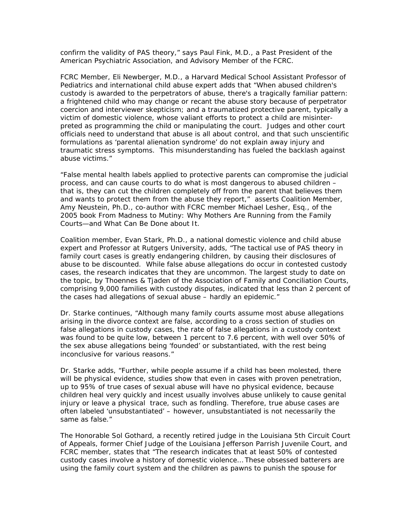confirm the validity of PAS theory," says Paul Fink, M.D., a Past President of the American Psychiatric Association, and Advisory Member of the FCRC.

FCRC Member, Eli Newberger, M.D., a Harvard Medical School Assistant Professor of Pediatrics and international child abuse expert adds that "When abused children's custody is awarded to the perpetrators of abuse, there's a tragically familiar pattern: a frightened child who may change or recant the abuse story because of perpetrator coercion and interviewer skepticism; and a traumatized protective parent, typically a victim of domestic violence, whose valiant efforts to protect a child are misinterpreted as programming the child or manipulating the court. Judges and other court officials need to understand that abuse is all about control, and that such unscientific formulations as 'parental alienation syndrome' do not explain away injury and traumatic stress symptoms. This misunderstanding has fueled the backlash against abuse victims."

"False mental health labels applied to protective parents can compromise the judicial process, and can cause courts to do what is most dangerous to abused children – that is, they can cut the children completely off from the parent that believes them and wants to protect them from the abuse they report," asserts Coalition Member, Amy Neustein, Ph.D., co-author with FCRC member Michael Lesher, Esq., of the 2005 book *From Madness to Mutiny: Why Mothers Are Running from the Family Courts—and What Can Be Done about It.*

Coalition member, Evan Stark, Ph.D., a national domestic violence and child abuse expert and Professor at Rutgers University, adds, "The tactical use of PAS theory in family court cases is greatly endangering children, by causing their disclosures of abuse to be discounted. While false abuse allegations do occur in contested custody cases, the research indicates that they are uncommon. The largest study to date on the topic, by Thoennes & Tjaden of the Association of Family and Conciliation Courts, comprising 9,000 families with custody disputes, indicated that less than 2 percent of the cases had allegations of sexual abuse – hardly an epidemic."

Dr. Starke continues, "Although many family courts assume most abuse allegations arising in the divorce context are false, according to a cross section of studies on false allegations in custody cases, the rate of false allegations in a custody context was found to be quite low, between 1 percent to 7.6 percent, with well over 50% of the sex abuse allegations being 'founded' or substantiated, with the rest being inconclusive for various reasons."

Dr. Starke adds, "Further, while people assume if a child has been molested, there will be physical evidence, studies show that even in cases with proven penetration, up to 95% of true cases of sexual abuse will have no physical evidence, because children heal very quickly and incest usually involves abuse unlikely to cause genital injury or leave a physical trace, such as fondling. Therefore, true abuse cases are often labeled 'unsubstantiated' – however, unsubstantiated is not necessarily the same as false."

The Honorable Sol Gothard, a recently retired judge in the Louisiana 5th Circuit Court of Appeals, former Chief Judge of the Louisiana Jefferson Parrish Juvenile Court, and FCRC member, states that "The research indicates that at least 50% of contested custody cases involve a history of domestic violence… These obsessed batterers are using the family court system and the children as pawns to punish the spouse for